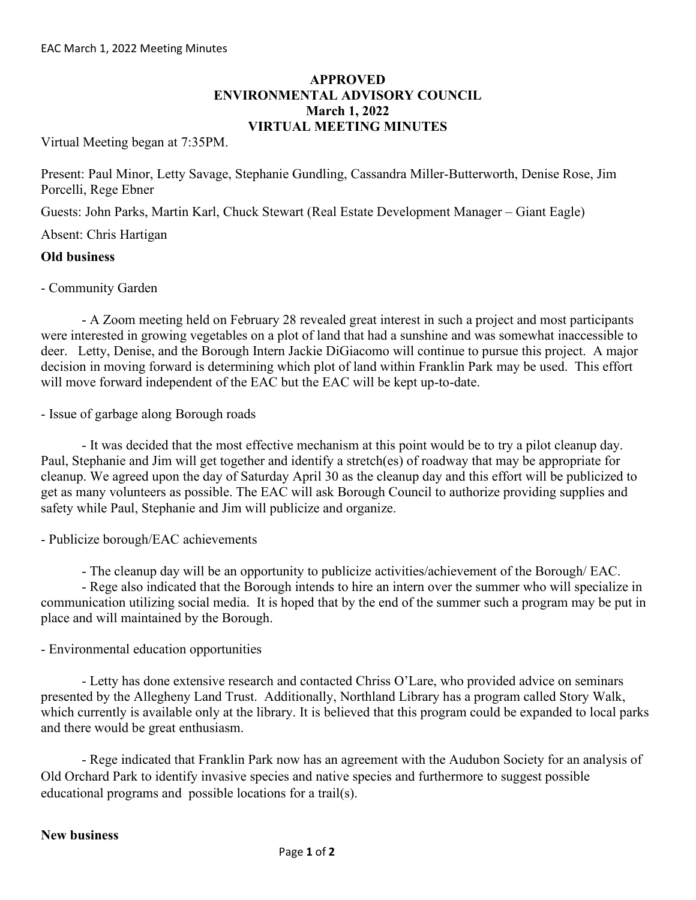# **APPROVED ENVIRONMENTAL ADVISORY COUNCIL March 1, 2022 VIRTUAL MEETING MINUTES**

Virtual Meeting began at 7:35PM.

Present: Paul Minor, Letty Savage, Stephanie Gundling, Cassandra Miller-Butterworth, Denise Rose, Jim Porcelli, Rege Ebner

Guests: John Parks, Martin Karl, Chuck Stewart (Real Estate Development Manager – Giant Eagle)

Absent: Chris Hartigan

#### **Old business**

- Community Garden

- A Zoom meeting held on February 28 revealed great interest in such a project and most participants were interested in growing vegetables on a plot of land that had a sunshine and was somewhat inaccessible to deer. Letty, Denise, and the Borough Intern Jackie DiGiacomo will continue to pursue this project. A major decision in moving forward is determining which plot of land within Franklin Park may be used. This effort will move forward independent of the EAC but the EAC will be kept up-to-date.

- Issue of garbage along Borough roads

- It was decided that the most effective mechanism at this point would be to try a pilot cleanup day. Paul, Stephanie and Jim will get together and identify a stretch(es) of roadway that may be appropriate for cleanup. We agreed upon the day of Saturday April 30 as the cleanup day and this effort will be publicized to get as many volunteers as possible. The EAC will ask Borough Council to authorize providing supplies and safety while Paul, Stephanie and Jim will publicize and organize.

- Publicize borough/EAC achievements

- The cleanup day will be an opportunity to publicize activities/achievement of the Borough/ EAC.

- Rege also indicated that the Borough intends to hire an intern over the summer who will specialize in communication utilizing social media. It is hoped that by the end of the summer such a program may be put in place and will maintained by the Borough.

### - Environmental education opportunities

- Letty has done extensive research and contacted Chriss O'Lare, who provided advice on seminars presented by the Allegheny Land Trust. Additionally, Northland Library has a program called Story Walk, which currently is available only at the library. It is believed that this program could be expanded to local parks and there would be great enthusiasm.

- Rege indicated that Franklin Park now has an agreement with the Audubon Society for an analysis of Old Orchard Park to identify invasive species and native species and furthermore to suggest possible educational programs and possible locations for a trail(s).

### **New business**